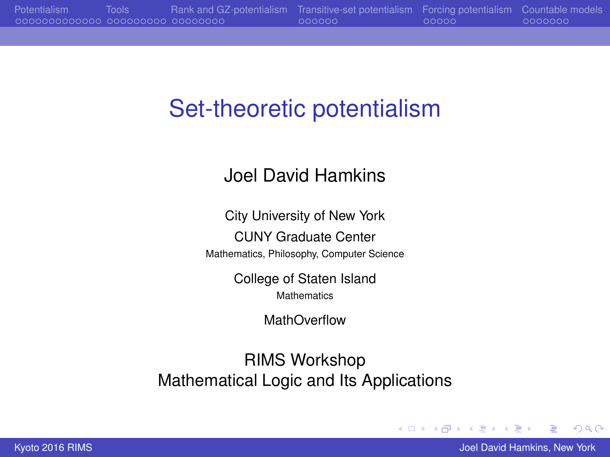# <span id="page-0-0"></span>Set-theoretic potentialism

### Joel David Hamkins

City University of New York CUNY Graduate Center Mathematics, Philosophy, Computer Science

> College of Staten Island **Mathematics**

> > MathOverflow

RIMS Workshop Mathematical Logic and Its Applications

 $2Q$ 

 $4$  ロ }  $4$   $6$  }  $4$   $\pm$  }  $4$   $\pm$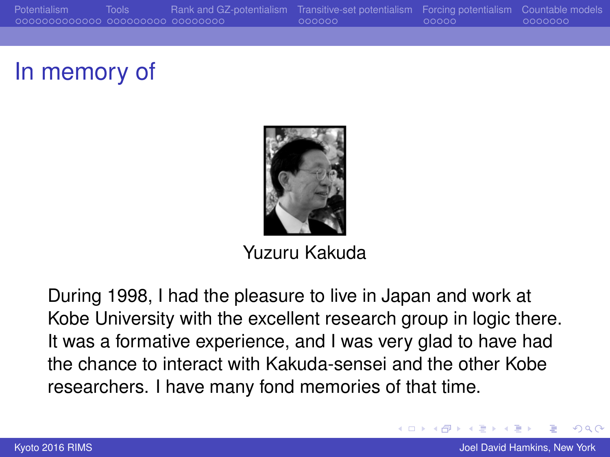[Potentialism](#page-3-0) [Tools](#page-16-0) [Rank and GZ-potentialism](#page-25-0) [Transitive-set potentialism](#page-33-0) [Forcing potentialism](#page-39-0) [Countable models](#page-44-0)

### In memory of



Yuzuru Kakuda

During 1998, I had the pleasure to live in Japan and work at Kobe University with the excellent research group in logic there. It was a formative experience, and I was very glad to have had the chance to interact with Kakuda-sensei and the other Kobe researchers. I have many fond memories of that time.

 $\Omega$ 

 $($   $\Box$   $)$   $($   $\Box$   $)$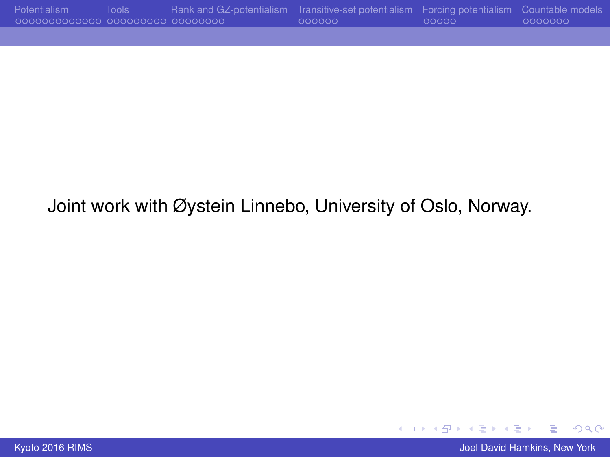| Potentialism                       | Tools <sup>1</sup> | Rank and GZ-potentialism Transitive-set potentialism Forcing potentialism Countable models |        |        |          |
|------------------------------------|--------------------|--------------------------------------------------------------------------------------------|--------|--------|----------|
| .00000000000000 000000000 00000000 |                    |                                                                                            | LOOOOO | -00000 | -0000000 |

### Joint work with Øystein Linnebo, University of Oslo, Norway.

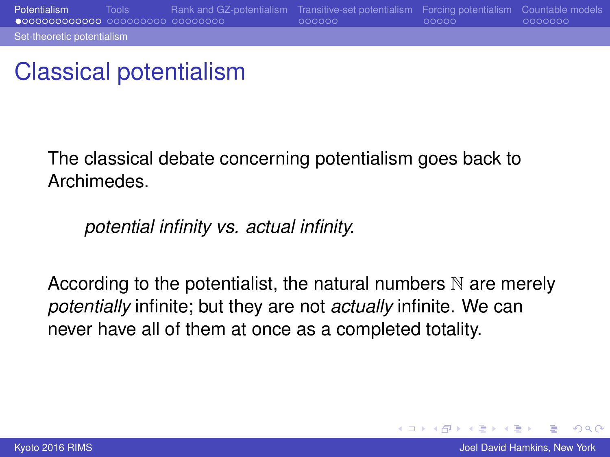### <span id="page-3-0"></span>Classical potentialism

The classical debate concerning potentialism goes back to Archimedes.

### *potential infinity vs. actual infinity.*

According to the potentialist, the natural numbers  $\mathbb N$  are merely *potentially* infinite; but they are not *actually* infinite. We can never have all of them at once as a completed totality.

 $2Q$ 

K ロ ⊁ K 伊 ⊁ K ヨ ⊁ K ヨ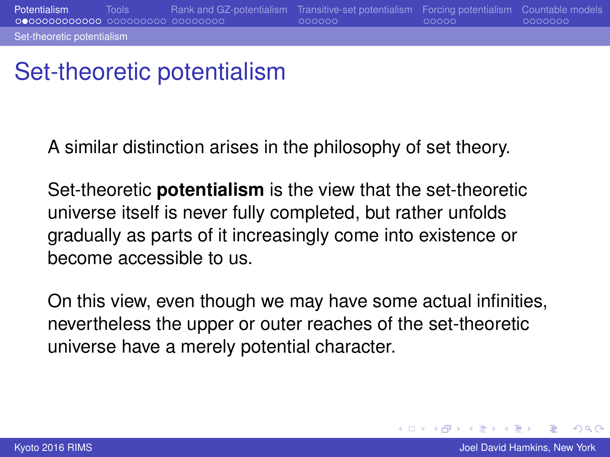### <span id="page-4-0"></span>Set-theoretic potentialism

A similar distinction arises in the philosophy of set theory.

Set-theoretic **potentialism** is the view that the set-theoretic universe itself is never fully completed, but rather unfolds gradually as parts of it increasingly come into existence or become accessible to us.

On this view, even though we may have some actual infinities, nevertheless the upper or outer reaches of the set-theoretic universe have a merely potential character.

 $2Q$ 

**K ロ ⊁ K 伊 ⊁ K ヨ ⊁**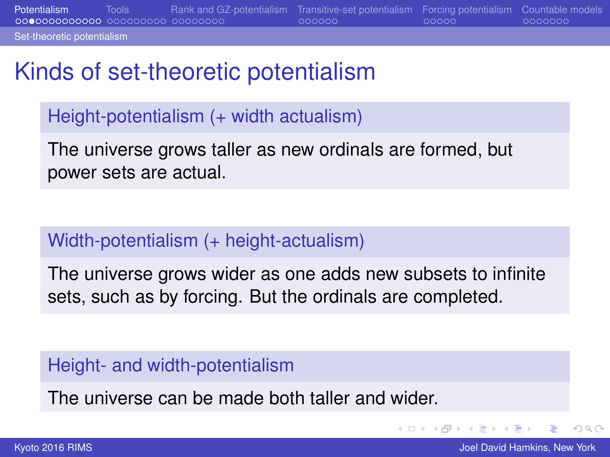<span id="page-5-0"></span>**[Potentialism](#page-3-0)** [Tools](#page-16-0) [Rank and GZ-potentialism](#page-25-0) [Transitive-set potentialism](#page-33-0) [Forcing potentialism](#page-39-0) [Countable models](#page-44-0)<br> **Potence cooperation** cooperation cooperation cooperation cooperation cooperation cooperation cooperation co

[Set-theoretic potentialism](#page-5-0)

### Kinds of set-theoretic potentialism

Height-potentialism (+ width actualism)

The universe grows taller as new ordinals are formed, but power sets are actual.

### Width-potentialism (+ height-actualism)

The universe grows wider as one adds new subsets to infinite sets, such as by forcing. But the ordinals are completed.

### Height- and width-potentialism

The universe can be made both taller and wider.

ă.

 $2Q$ 

← ロ → → r 何 → →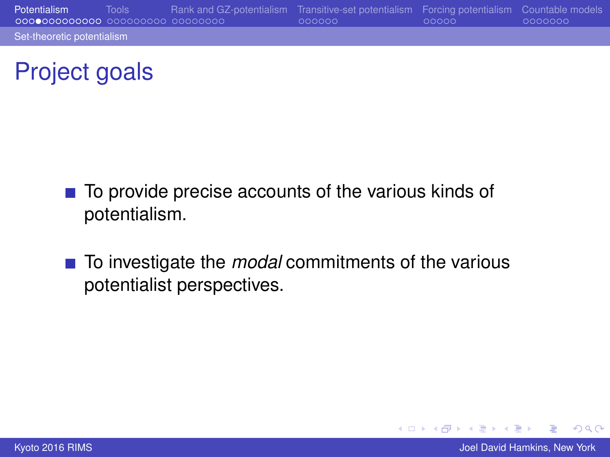<span id="page-6-0"></span>[Potentialism](#page-3-0) [Tools](#page-16-0) [Rank and GZ-potentialism](#page-25-0) [Transitive-set potentialism](#page-33-0) [Forcing potentialism](#page-39-0) [Countable models](#page-44-0) [Set-theoretic potentialism](#page-6-0)

### Project goals

- $\blacksquare$  To provide precise accounts of the various kinds of potentialism.
- To investigate the *modal* commitments of the various potentialist perspectives.

**[Kyoto 2016 RIMS](#page-0-0)** Joel David Hamkins, New York **Joel David Hamkins, New York Joel David Hamkins**, New York

 $2Q$ 

イロト イ押ト イヨト イヨト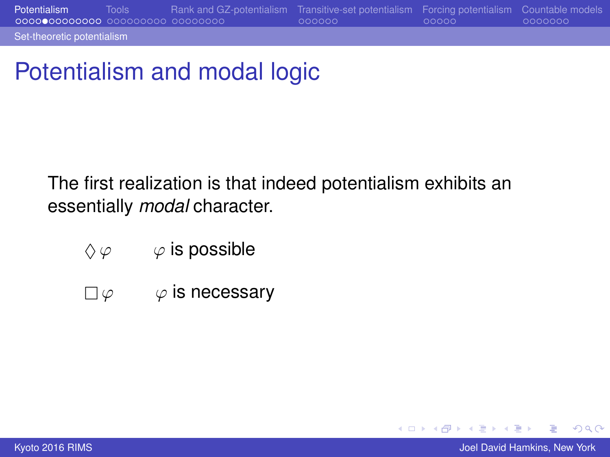<span id="page-7-0"></span>[Set-theoretic potentialism](#page-7-0)

# Potentialism and modal logic

The first realization is that indeed potentialism exhibits an essentially *modal* character.

- $\Diamond \varphi$   $\varphi$  is possible
- $\square \varphi \qquad \varphi$  is necessary

 $2Q$ 

∍

イロト イ押ト イヨト イヨト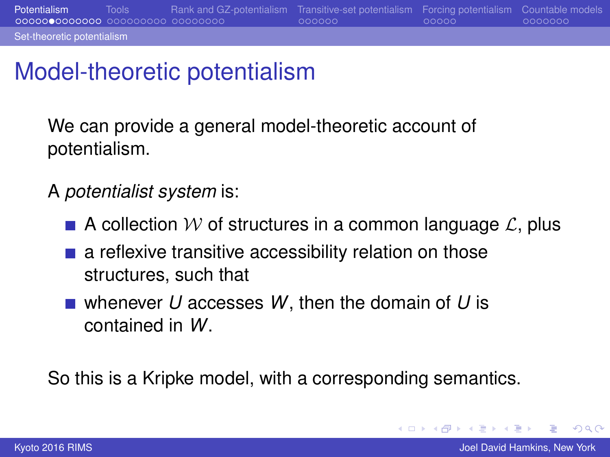### <span id="page-8-0"></span>Model-theoretic potentialism

We can provide a general model-theoretic account of potentialism.

A *potentialist system* is:

- A collection W of structures in a common language  $\mathcal{L}$ , plus
- $\blacksquare$  a reflexive transitive accessibility relation on those structures, such that
- whenever *U* accesses *W*, then the domain of *U* is contained in *W*.

So this is a Kripke model, with a corresponding semantics.

 $2Q$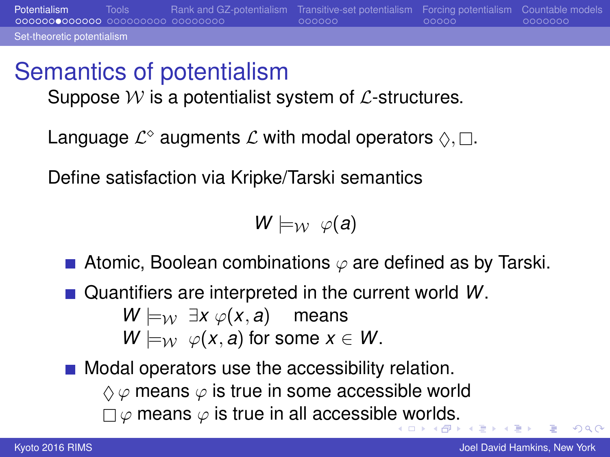### Semantics of potentialism

<span id="page-9-0"></span>[Set-theoretic potentialism](#page-9-0)

Suppose  $W$  is a potentialist system of  $\mathcal{L}$ -structures.

Language  $\mathcal{L}^{\diamond}$  augments  $\mathcal{L}$  with modal operators  $\Diamond, \Box.$ 

Define satisfaction via Kripke/Tarski semantics

 $W \models_W \varphi(a)$ 

- **Atomic, Boolean combinations**  $\varphi$  **are defined as by Tarski.**
- Quantifiers are interpreted in the current world *W*.

*W*  $\models$ *w* ∃*x*  $\varphi$ (*x*, *a*) means

$$
W \models_{\mathcal{W}} \varphi(x, a) \text{ for some } x \in W.
$$

**Modal operators use the accessibility relation.** 

 $\Diamond \varphi$  means  $\varphi$  is true in some accessible world

 $\Box \varphi$  means  $\varphi$  is true in all accessibl[e w](#page-8-0)[or](#page-10-0)[l](#page-8-0)[ds](#page-9-0)[.](#page-10-0)

 $\Omega$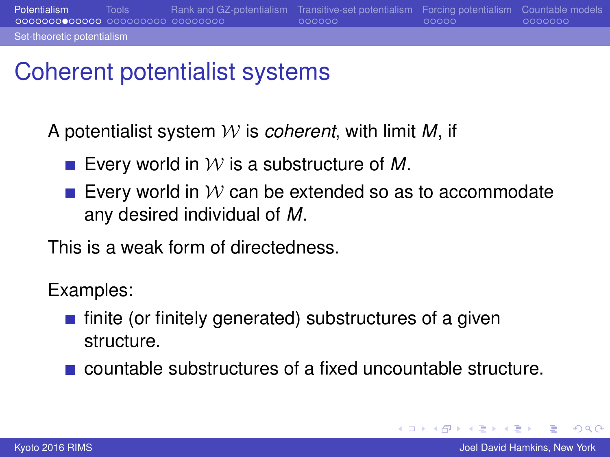### <span id="page-10-0"></span>Coherent potentialist systems

A potentialist system W is *coherent*, with limit *M*, if

- **E** Every world in  $W$  is a substructure of M.
- Every world in  $W$  can be extended so as to accommodate any desired individual of *M*.

This is a weak form of directedness.

Examples:

- $\blacksquare$  finite (or finitely generated) substructures of a given structure.
- countable substructures of a fixed uncountable structure.

 $2Q$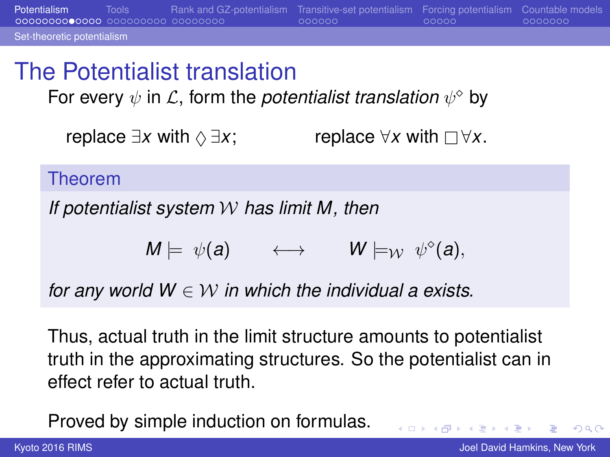<span id="page-11-0"></span>[Potentialism](#page-3-0) [Tools](#page-16-0) [Rank and GZ-potentialism](#page-25-0) [Transitive-set potentialism](#page-33-0) [Forcing potentialism](#page-39-0) [Countable models](#page-44-0) [Set-theoretic potentialism](#page-11-0) The Potentialist translation

For every  $\psi$  in  $\mathcal{L},$  form the *potentialist translation*  $\psi^\diamond$  by

*replace*  $\exists x$  with  $\Diamond \exists x$ ; replace  $\forall x$  with  $\Box \forall x$ .

Theorem

*If potentialist system* W *has limit M, then*

$$
M \models \psi(a) \qquad \longleftrightarrow \qquad W \models_{\mathcal{W}} \psi^{\circ}(a),
$$

*for any world*  $W \in W$  *in which the individual a exists.* 

Thus, actual truth in the limit structure amounts to potentialist truth in the approximating structures. So the potentialist can in effect refer to actual truth.

Proved by simple induction on formulas.

B

 $QQ$ 

 $\left\{ \begin{array}{ccc} 1 & 0 & 0 \\ 0 & 1 & 0 \end{array} \right.$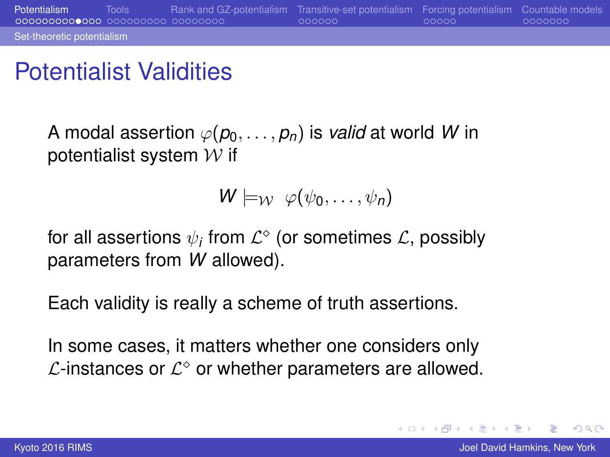### <span id="page-12-0"></span>Potentialist Validities

A modal assertion  $\varphi(p_0, \ldots, p_n)$  is *valid* at world *W* in potentialist system  $W$  if

$$
W\models_{\mathcal{W}}\varphi(\psi_0,\ldots,\psi_n)
$$

for all assertions  $\psi_i$  from  $\mathcal{L}^\diamond$  (or sometimes  $\mathcal{L},$  possibly parameters from *W* allowed).

Each validity is really a scheme of truth assertions.

In some cases, it matters whether one considers only  $\mathcal{L}$ -instances or  $\mathcal{L}^{\diamond}$  or whether parameters are allowed.

 $QQ$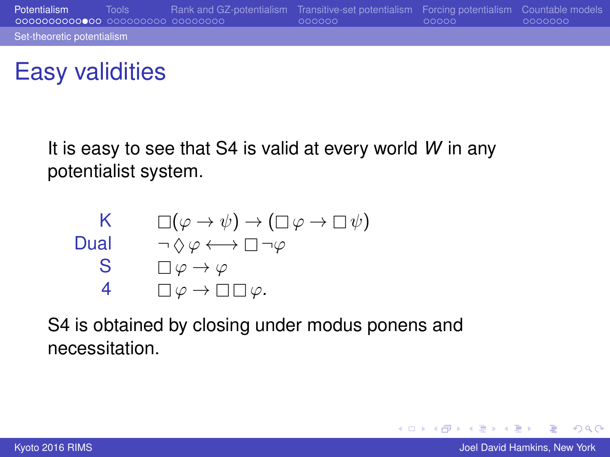### <span id="page-13-0"></span>Easy validities

It is easy to see that S4 is valid at every world *W* in any potentialist system.

| K    | $\Box(\varphi \to \psi) \to (\Box \varphi \to \Box \psi)$     |
|------|---------------------------------------------------------------|
| Dual | $\neg \Diamond \varphi \longleftrightarrow \Box \neg \varphi$ |
| S    | $\Box \varphi \to \varphi$                                    |
| 4    | $\Box \varphi \to \Box \Box \varphi$                          |

S4 is obtained by closing under modus ponens and necessitation.

 $2Q$ 

イロト イ押ト イヨト イヨト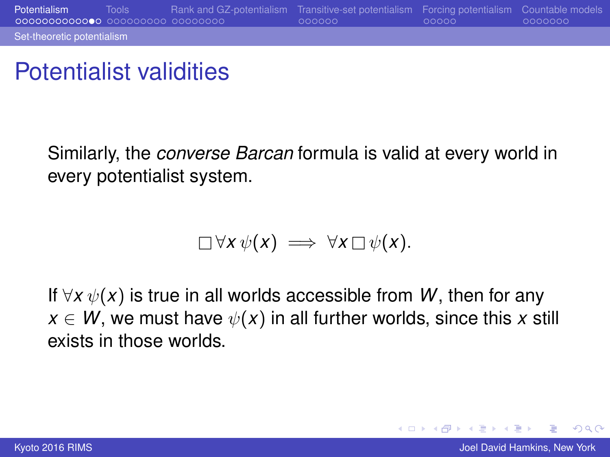### <span id="page-14-0"></span>Potentialist validities

Similarly, the *converse Barcan* formula is valid at every world in every potentialist system.

$$
\Box \forall x \, \psi(x) \implies \forall x \, \Box \, \psi(x).
$$

If  $\forall x \psi(x)$  is true in all worlds accessible from W, then for any  $x \in W$ , we must have  $\psi(x)$  in all further worlds, since this x still exists in those worlds.

 $2Q$ 

K ロ ⊁ K 伊 ⊁ K ヨ ⊁ K ヨ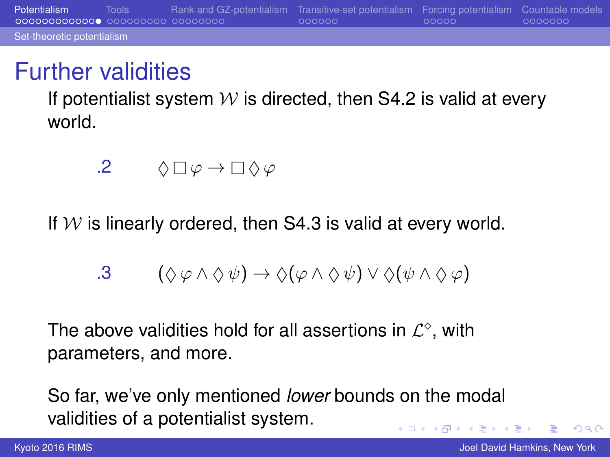### <span id="page-15-0"></span>Further validities

If potentialist system  $W$  is directed, then S4.2 is valid at every world.

$$
\mathbf{.2} \qquad \Diamond \Box \varphi \to \Box \Diamond \varphi
$$

If  $W$  is linearly ordered, then S4.3 is valid at every world.

$$
.3 \qquad (\Diamond \varphi \wedge \Diamond \psi) \rightarrow \Diamond (\varphi \wedge \Diamond \psi) \vee \Diamond (\psi \wedge \Diamond \varphi)
$$

The above validities hold for all assertions in  $\mathcal{L}^{\diamond}$ , with parameters, and more.

So far, we've only mentioned *lower* bounds on the modal validities of a potentialist system. (ロ) (伊) ミト メラ

 $2Q$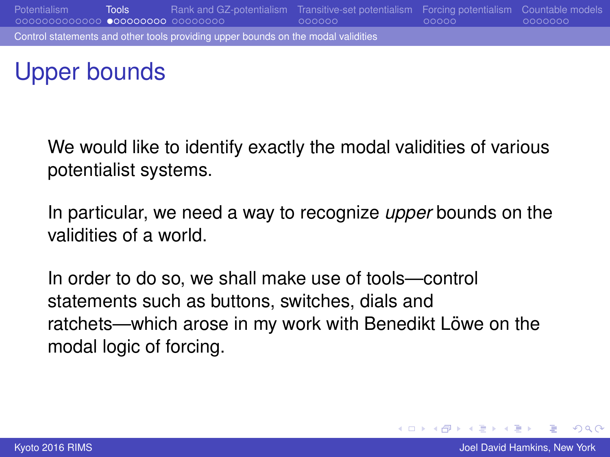<span id="page-16-0"></span>

## Upper bounds

We would like to identify exactly the modal validities of various potentialist systems.

In particular, we need a way to recognize *upper* bounds on the validities of a world.

In order to do so, we shall make use of tools—control statements such as buttons, switches, dials and ratchets—which arose in my work with Benedikt Löwe on the modal logic of forcing.

 $2Q$ 

イロメ イ押 メイヨメ イヨメ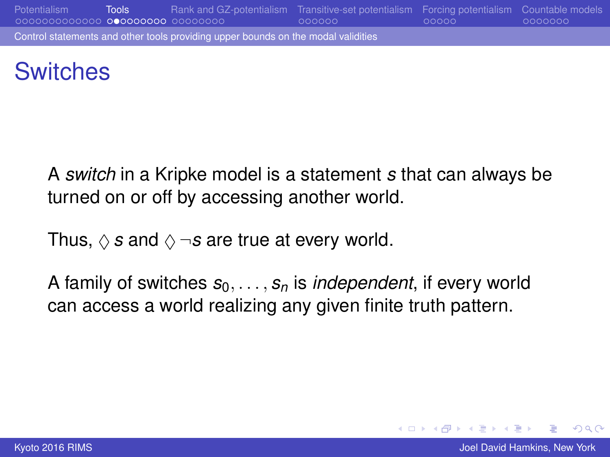<span id="page-17-0"></span>

### **Switches**

A *switch* in a Kripke model is a statement *s* that can always be turned on or off by accessing another world.

Thus,  $\Diamond$  *s* and  $\Diamond \neg s$  are true at every world.

A family of switches  $s_0, \ldots, s_n$  is *independent*, if every world can access a world realizing any given finite truth pattern.

 $2Q$ 

イロメ イ押 メイヨメ イヨメ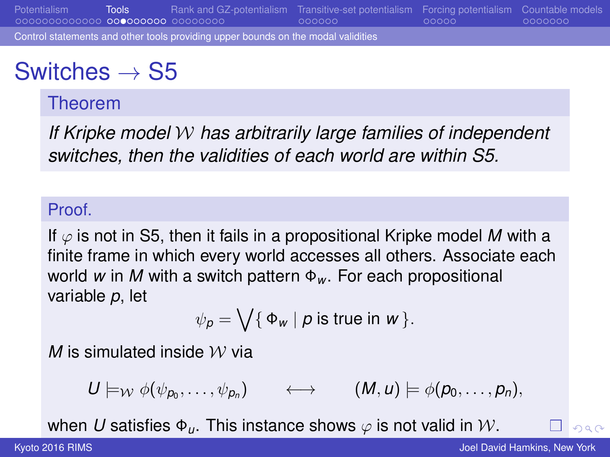<span id="page-18-0"></span>[Potentialism](#page-3-0) [Tools](#page-16-0) [Rank and GZ-potentialism](#page-25-0) [Transitive-set potentialism](#page-33-0) [Forcing potentialism](#page-39-0) [Countable models](#page-44-0) [Control statements and other tools providing upper bounds on the modal validities](#page-18-0)

### Switches  $\rightarrow$  S5

### Theorem

*If Kripke model* W *has arbitrarily large families of independent switches, then the validities of each world are within S5.*

#### Proof.

If  $\varphi$  is not in S5, then it fails in a propositional Kripke model M with a finite frame in which every world accesses all others. Associate each world *w* in *M* with a switch pattern Φ*<sup>w</sup>* . For each propositional variable *p*, let

$$
\psi_p = \bigvee \{ \Phi_w \mid p \text{ is true in } w \}.
$$

*M* is simulated inside  $W$  via

$$
U\models_{\mathcal{W}}\phi(\psi_{p_0},\ldots,\psi_{p_n})\qquad\longleftrightarrow\qquad (M,u)\models\phi(p_0,\ldots,p_n),
$$

whe[n](#page-15-0) *U* s[a](#page-17-0)tisfies  $\Phi_{\mu}$ . This [i](#page-19-0)nstance shows  $\varphi$  is [no](#page-17-0)t [v](#page-19-0)a[lid](#page-18-0) in [W](#page-24-0)[.](#page-15-0)

 $000$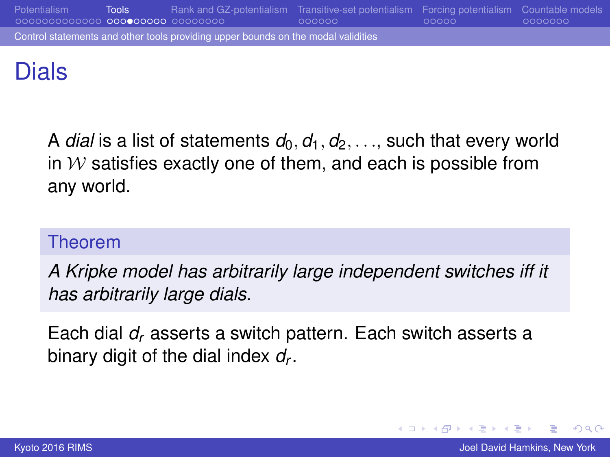<span id="page-19-0"></span>

### Dials

A *dial* is a list of statements  $d_0, d_1, d_2, \ldots$ , such that every world in  $W$  satisfies exactly one of them, and each is possible from any world.

### Theorem

*A Kripke model has arbitrarily large independent switches iff it has arbitrarily large dials.*

Each dial *d<sup>r</sup>* asserts a switch pattern. Each switch asserts a binary digit of the dial index *d<sup>r</sup>* .

 $2Q$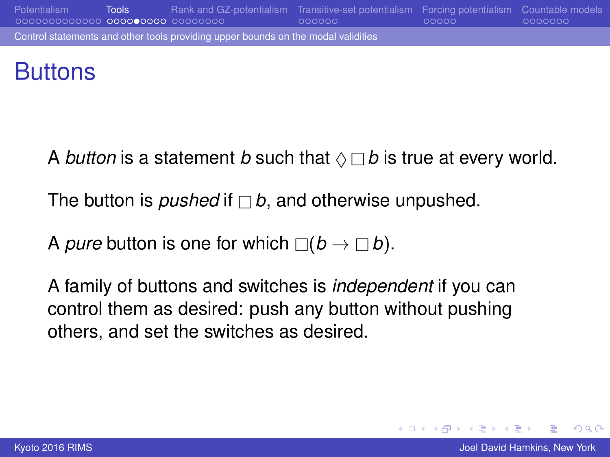<span id="page-20-0"></span>

### **Buttons**

A *button* is a statement *b* such that  $\Diamond \Box b$  is true at every world.

The button is *pushed* if  $\Box b$ , and otherwise unpushed.

A *pure* button is one for which  $\Box(b \rightarrow \Box b)$ .

A family of buttons and switches is *independent* if you can control them as desired: push any button without pushing others, and set the switches as desired.

 $2Q$ э.

イロメ イ押 メイヨメ イヨメ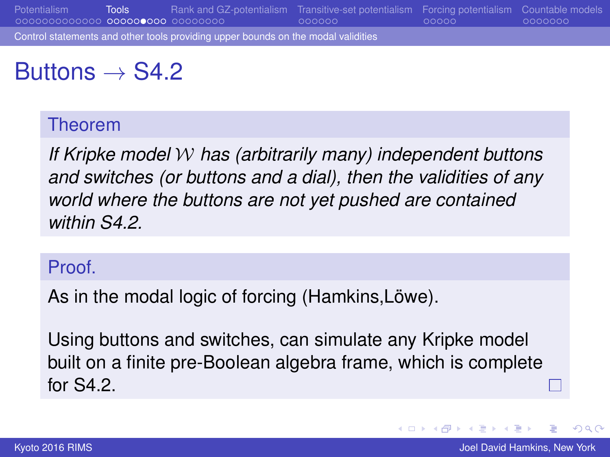<span id="page-21-0"></span>[Potentialism](#page-3-0) [Tools](#page-16-0) [Rank and GZ-potentialism](#page-25-0) [Transitive-set potentialism](#page-33-0) [Forcing potentialism](#page-39-0) [Countable models](#page-44-0) [Control statements and other tools providing upper bounds on the modal validities](#page-21-0)

### Buttons  $\rightarrow$  S4.2

#### Theorem

*If Kripke model* W *has (arbitrarily many) independent buttons and switches (or buttons and a dial), then the validities of any world where the buttons are not yet pushed are contained within S4.2.*

#### Proof.

As in the modal logic of forcing (Hamkins, Löwe).

Using buttons and switches, can simulate any Kripke model built on a finite pre-Boolean algebra frame, which is complete for S4.2.

€

 $2Q$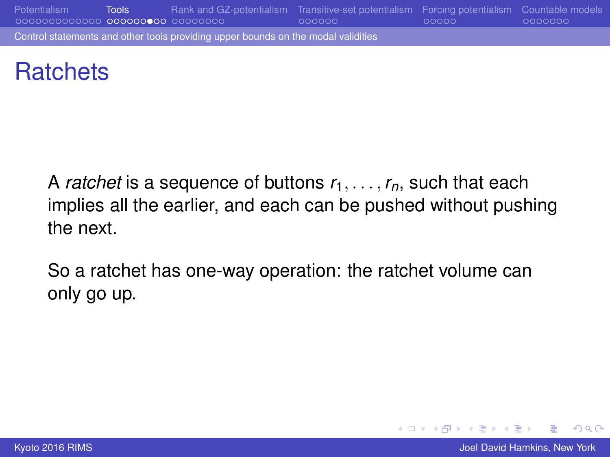<span id="page-22-0"></span>[Potentialism](#page-3-0) [Tools](#page-16-0) [Rank and GZ-potentialism](#page-25-0) [Transitive-set potentialism](#page-33-0) [Forcing potentialism](#page-39-0) [Countable models](#page-44-0) [Control statements and other tools providing upper bounds on the modal validities](#page-22-0)

### **Ratchets**

A *ratchet* is a sequence of buttons  $r_1, \ldots, r_n$ , such that each implies all the earlier, and each can be pushed without pushing the next.

So a ratchet has one-way operation: the ratchet volume can only go up.

 $2Q$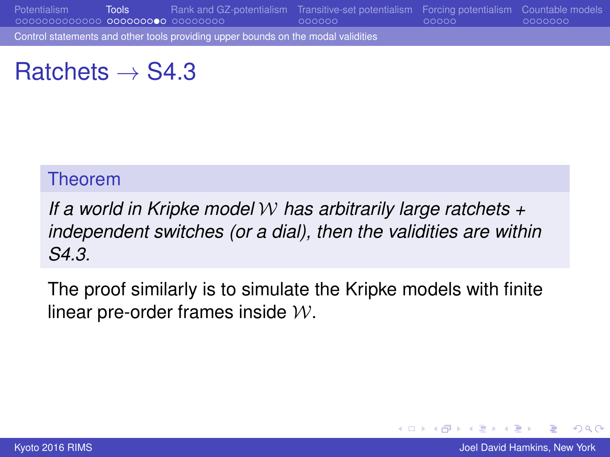<span id="page-23-0"></span>[Potentialism](#page-3-0) [Tools](#page-16-0) [Rank and GZ-potentialism](#page-25-0) [Transitive-set potentialism](#page-33-0) [Forcing potentialism](#page-39-0) [Countable models](#page-44-0)

[Control statements and other tools providing upper bounds on the modal validities](#page-23-0)

### Ratchets  $\rightarrow$  S4.3

#### Theorem

*If a world in Kripke model* W *has arbitrarily large ratchets + independent switches (or a dial), then the validities are within S4.3.*

The proof similarly is to simulate the Kripke models with finite linear pre-order frames inside  $W$ .

 $2Q$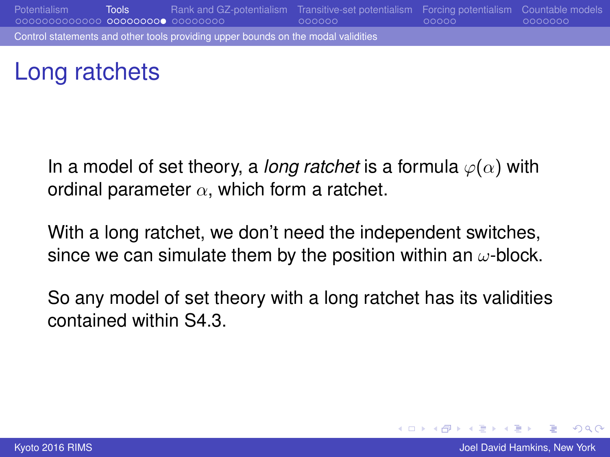<span id="page-24-0"></span>

### Long ratchets

In a model of set theory, a *long ratchet* is a formula  $\varphi(\alpha)$  with ordinal parameter  $\alpha$ , which form a ratchet.

With a long ratchet, we don't need the independent switches, since we can simulate them by the position within an  $\omega$ -block.

So any model of set theory with a long ratchet has its validities contained within S4.3.

 $2Q$ 

イロメ イ押 メイヨメ イヨメ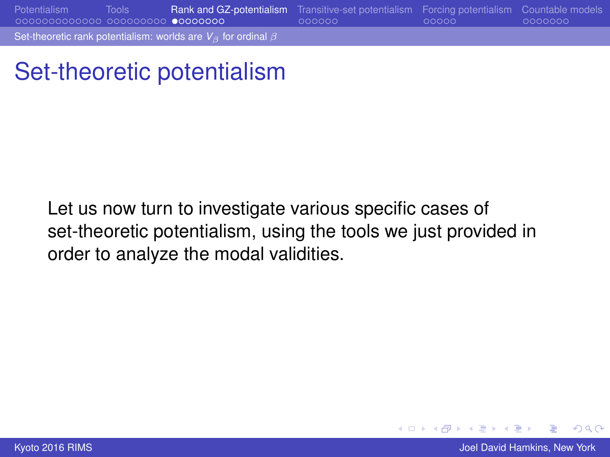<span id="page-25-0"></span>[Potentialism](#page-3-0) [Tools](#page-16-0) [Rank and GZ-potentialism](#page-25-0) [Transitive-set potentialism](#page-33-0) [Forcing potentialism](#page-39-0) [Countable models](#page-44-0) [Set-theoretic rank potentialism: worlds are](#page-25-0) *V*<sub>β</sub> for ordinal β

Set-theoretic potentialism

Let us now turn to investigate various specific cases of set-theoretic potentialism, using the tools we just provided in order to analyze the modal validities.

**[Kyoto 2016 RIMS](#page-0-0)** Joel David Hamkins, New York **Joel David Hamkins, New York Joel David Hamkins**, New York

 $2Q$ 

K ロ ⊁ K 伊 ⊁ K ヨ ⊁ K ヨ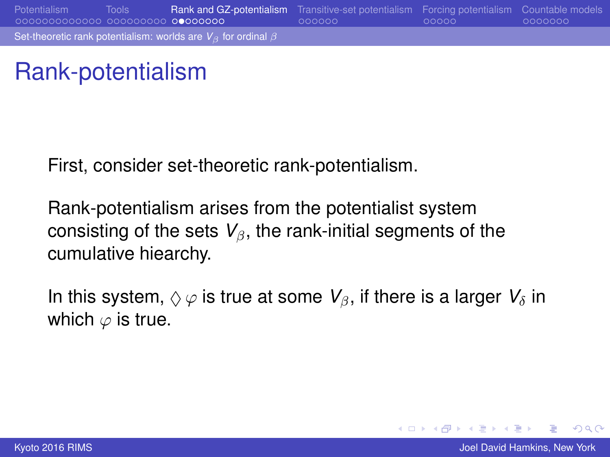<span id="page-26-0"></span>

### Rank-potentialism

First, consider set-theoretic rank-potentialism.

Rank-potentialism arises from the potentialist system consisting of the sets  $V_{\beta}$ , the rank-initial segments of the cumulative hiearchy.

In this system,  $\Diamond \varphi$  is true at some  $V_\beta$ , if there is a larger  $V_\delta$  in which  $\varphi$  is true.

 $2Q$ 

イロメ イ押 メイヨメ イヨメ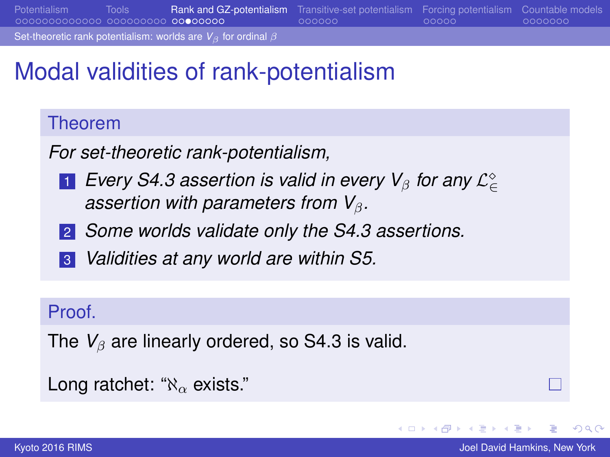<span id="page-27-0"></span>[Potentialism](#page-3-0) [Tools](#page-16-0) [Rank and GZ-potentialism](#page-25-0) [Transitive-set potentialism](#page-33-0) [Forcing potentialism](#page-39-0) [Countable models](#page-44-0)

[Set-theoretic rank potentialism: worlds are](#page-27-0)  $V_B$  for ordinal  $\beta$ 

## Modal validities of rank-potentialism

### Theorem

*For set-theoretic rank-potentialism,*

- 1 Every S4.3 assertion is valid in every V<sub>β</sub> for any L°∈ *assertion with parameters from V*<sub>β</sub>.
- 2 *Some worlds validate only the S4.3 assertions.*
- 3 *Validities at any world are within S5.*

### Proof.

```
The V_\beta are linearly ordered, so S4.3 is valid.
```

```
Long ratchet: "\aleph_{\alpha} exists."
```
э

つへへ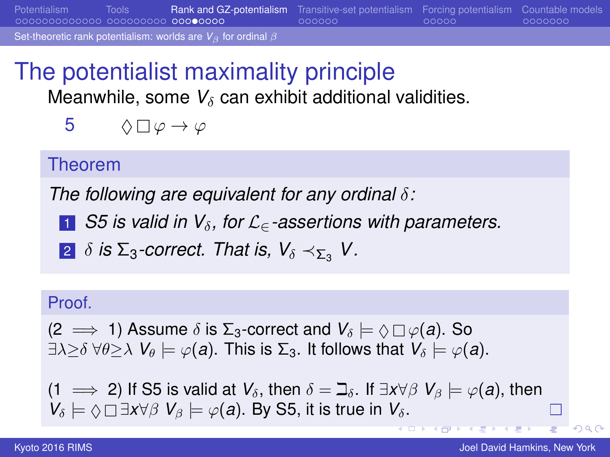<span id="page-28-0"></span>[Potentialism](#page-3-0) [Tools](#page-16-0) [Rank and GZ-potentialism](#page-25-0) [Transitive-set potentialism](#page-33-0) [Forcing potentialism](#page-39-0) [Countable models](#page-44-0)

[Set-theoretic rank potentialism: worlds are](#page-28-0) *V*<sub>β</sub> for ordinal β

### The potentialist maximality principle Meanwhile, some  $V_\delta$  can exhibit additional validities.

$$
5 \qquad \Diamond \Box \, \varphi \to \varphi
$$

### Theorem

*The following are equivalent for any ordinal* δ*:*

- <sup>1</sup> *S5 is valid in V*δ*, for* L∈*-assertions with parameters.*
- 2  $\delta$  *is*  $\Sigma_3$ -correct. That *is*,  $V_\delta \prec_{\Sigma_2} V$ .

#### Proof.

 $(2 \implies 1)$  Assume  $\delta$  is  $\Sigma_3$ -correct and  $V_\delta \models \Diamond \Box \varphi(a)$ . So  $\exists \lambda \geq \delta \ \forall \theta \geq \lambda \ \mathsf{V}_{\theta} \models \varphi(\mathsf{a})$ . This is  $\Sigma_3$ . It follows that  $\mathsf{V}_{\delta} \models \varphi(\mathsf{a})$ .

(1  $\implies$  2) If S5 is valid at  $V_\delta$ , then  $\delta = \beth_\delta$ . If  $\exists x \forall \beta \; V_\beta \models \varphi(a)$ , then  $V_{\delta} \models \Diamond \Box \exists x \forall \beta \; V_{\beta} \models \varphi(a)$ . By S5, it is true in  $V_{\delta}$ .

**I O > I N +** 

 $\cap$  a  $\cap$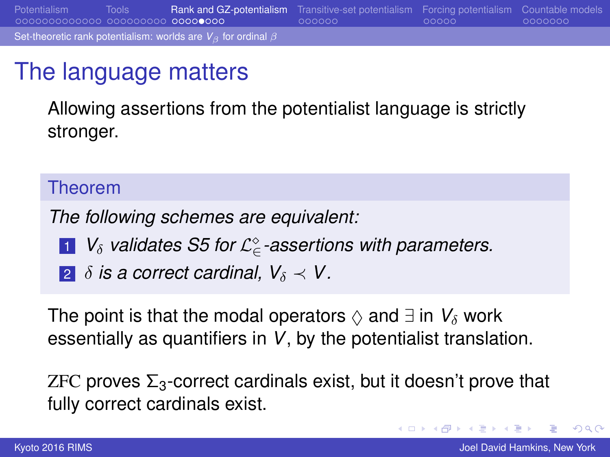<span id="page-29-0"></span>[Potentialism](#page-3-0) [Tools](#page-16-0) [Rank and GZ-potentialism](#page-25-0) [Transitive-set potentialism](#page-33-0) [Forcing potentialism](#page-39-0) [Countable models](#page-44-0) [Set-theoretic rank potentialism: worlds are](#page-29-0) *V*<sub>β</sub> for ordinal β

### The language matters

Allowing assertions from the potentialist language is strictly stronger.

#### Theorem

*The following schemes are equivalent:*

- 1 V<sub>δ</sub> validates S5 for  $\mathcal{L}_{\in}^{\diamond}$ -assertions with parameters.
- **2**  $\delta$  *is a correct cardinal,*  $V_{\delta} \prec V$ *.*

The point is that the modal operators  $\Diamond$  and  $\exists$  in  $V_\delta$  work essentially as quantifiers in *V*, by the potentialist translation.

ZFC proves  $\Sigma_3$ -correct cardinals exist, but it doesn't prove that fully correct cardinals exist.

 $2Q$ 

 $\left\{ \begin{array}{ccc} 1 & 0 & 0 \\ 0 & 1 & 0 \end{array} \right.$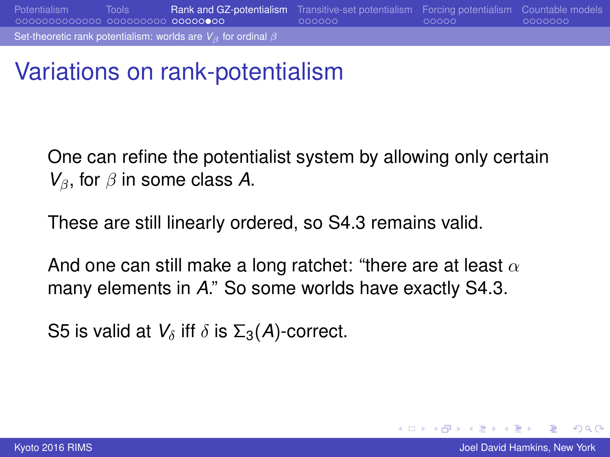<span id="page-30-0"></span>[Potentialism](#page-3-0) [Tools](#page-16-0) [Rank and GZ-potentialism](#page-25-0) [Transitive-set potentialism](#page-33-0) [Forcing potentialism](#page-39-0) [Countable models](#page-44-0) [Set-theoretic rank potentialism: worlds are](#page-30-0) *V*<sub>β</sub> for ordinal β

### Variations on rank-potentialism

One can refine the potentialist system by allowing only certain  $V_{\beta}$ , for  $\beta$  in some class A.

These are still linearly ordered, so S4.3 remains valid.

And one can still make a long ratchet: "there are at least  $\alpha$ many elements in *A*." So some worlds have exactly S4.3.

S5 is valid at  $V_\delta$  iff  $\delta$  is  $\Sigma_3(A)$ -correct.

 $2Q$ 

イロメ イ押 メイヨメ イヨメ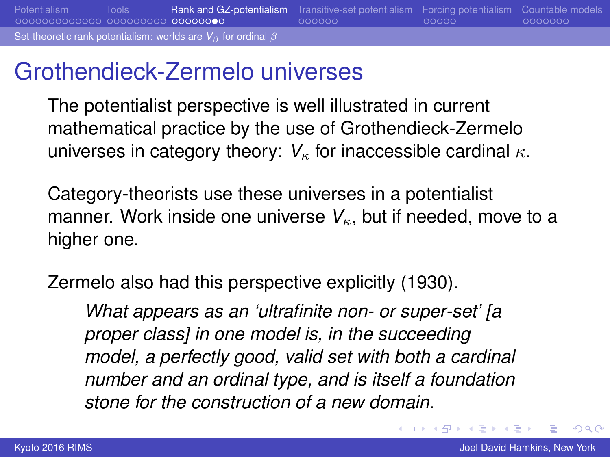### <span id="page-31-0"></span>Grothendieck-Zermelo universes

The potentialist perspective is well illustrated in current mathematical practice by the use of Grothendieck-Zermelo universes in category theory:  $V_{\kappa}$  for inaccessible cardinal  $\kappa$ .

Category-theorists use these universes in a potentialist manner. Work inside one universe  $V_{\kappa}$ , but if needed, move to a higher one.

Zermelo also had this perspective explicitly (1930).

*What appears as an 'ultrafinite non- or super-set' [a proper class] in one model is, in the succeeding model, a perfectly good, valid set with both a cardinal number and an ordinal type, and is itself a foundation stone for the construction of a new domain.*

→ 重 ▶ → 重 ▶

 $2Q$ 

(ロ) (伊)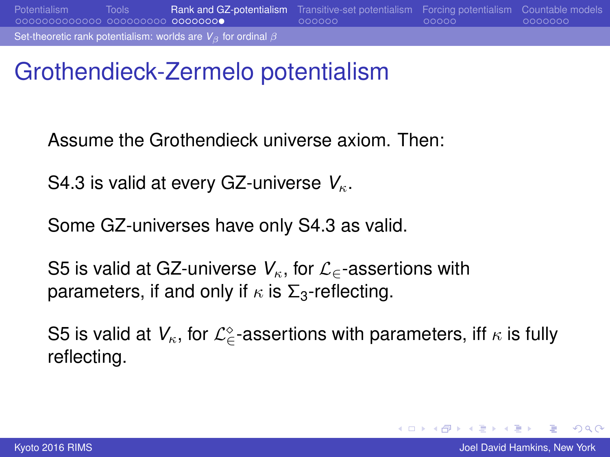### <span id="page-32-0"></span>Grothendieck-Zermelo potentialism

Assume the Grothendieck universe axiom. Then:

S4.3 is valid at every GZ-universe  $V_{\kappa}$ .

Some GZ-universes have only S4.3 as valid.

S5 is valid at GZ-universe *V*<sub>κ</sub>, for  $\mathcal{L}_\epsilon$ -assertions with parameters, if and only if  $\kappa$  is  $\Sigma_3$ -reflecting.

S5 is valid at  $V_\kappa$ , for  $\mathcal{L}^\diamond_\in$ -assertions with parameters, iff  $\kappa$  is fully reflecting.

 $\equiv$   $\Omega$ 

イロト イ押 トイヨ トイヨト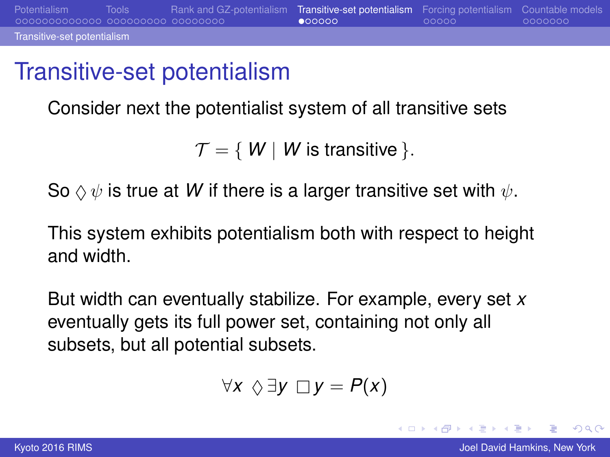### <span id="page-33-0"></span>Transitive-set potentialism

Consider next the potentialist system of all transitive sets

 $\mathcal{T} = \{ W \mid W$  is transitive  $\}$ .

So  $\Diamond \psi$  is true at *W* if there is a larger transitive set with  $\psi$ .

This system exhibits potentialism both with respect to height and width.

But width can eventually stabilize. For example, every set *x* eventually gets its full power set, containing not only all subsets, but all potential subsets.

$$
\forall x \ \Diamond \exists y \ \Box y = P(x)
$$

 $2Q$ э.

イロメ イ押 メイヨメ イヨメ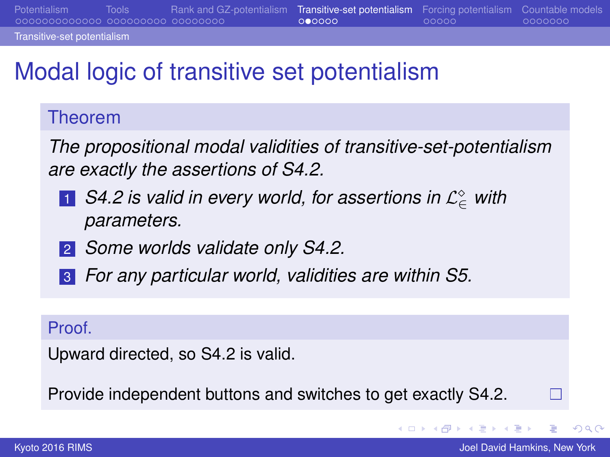#### <span id="page-34-0"></span>[Transitive-set potentialism](#page-34-0)

# Modal logic of transitive set potentialism

### Theorem

*The propositional modal validities of transitive-set-potentialism are exactly the assertions of S4.2.*

- 1 *S4.2 is valid in every world, for assertions in* L <sup>∈</sup> *with parameters.*
- 2 *Some worlds validate only S4.2.*
- 3 *For any particular world, validities are within S5.*

#### Proof.

Upward directed, so S4.2 is valid.

Provide independent buttons and switches to get exactly S4.2.

イロメ イ押 メイヨメ イヨメ

 $\Box$ 

 $2Q$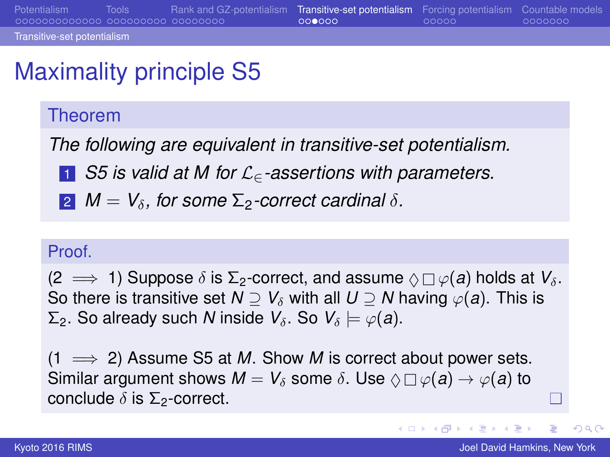# <span id="page-35-0"></span>Maximality principle S5

### Theorem

*The following are equivalent in transitive-set potentialism.*

- <sup>1</sup> *S5 is valid at M for* L∈*-assertions with parameters.*
- **2**  $M = V_\delta$ , for some  $\Sigma_2$ -correct cardinal  $\delta$ .

### Proof

 $(2 \implies 1)$  Suppose  $\delta$  is  $\Sigma$ <sub>2</sub>-correct, and assume  $\Diamond \Box \varphi(a)$  holds at  $V_\delta$ . So there is transitive set  $N \supset V_\delta$  with all  $U \supset N$  having  $\varphi(a)$ . This is  $\Sigma$ <sub>2</sub>. So already such *N* inside *V*<sub>δ</sub>. So *V*<sub>δ</sub>  $\models$   $\varphi$ (*a*).

 $(1 \implies 2)$  Assume S5 at *M*. Show *M* is correct about power sets. Similar argument shows  $M = V_\delta$  some  $\delta$ . Use  $\Diamond \Box \varphi(a) \rightarrow \varphi(a)$  to conclude  $\delta$  is  $\Sigma$ <sub>2</sub>-correct.

イロメ イ押 メイヨメ イヨメ

Г

 $2Q$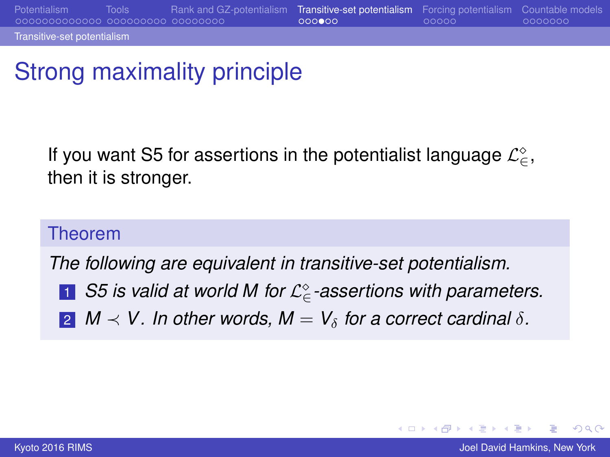<span id="page-36-0"></span>[Transitive-set potentialism](#page-36-0)

# Strong maximality principle

If you want S5 for assertions in the potentialist language  $\mathcal{L}^{\diamond}_{\in}$ , then it is stronger.

### Theorem

*The following are equivalent in transitive-set potentialism.*

- 1 *S5 is valid at world M for* L <sup>∈</sup>*-assertions with parameters.*
- **2**  $M \prec V$ . In other words,  $M = V_\delta$  for a correct cardinal  $\delta$ .

э  $\Omega$ 

イロメ イ押 メイヨメ イヨメ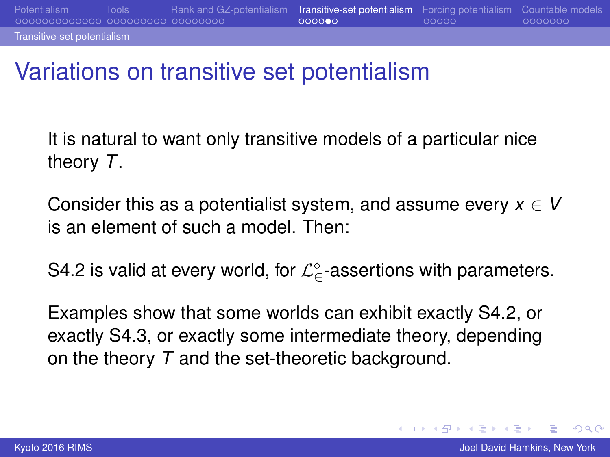### <span id="page-37-0"></span>Variations on transitive set potentialism

It is natural to want only transitive models of a particular nice theory *T*.

Consider this as a potentialist system, and assume every  $x \in V$ is an element of such a model. Then:

S4.2 is valid at every world, for  $\mathcal{L}^{\diamond}_{\in}$ -assertions with parameters.

Examples show that some worlds can exhibit exactly S4.2, or exactly S4.3, or exactly some intermediate theory, depending on the theory *T* and the set-theoretic background.

 $2Q$ 

イロメ イ押 メイヨメ イヨメ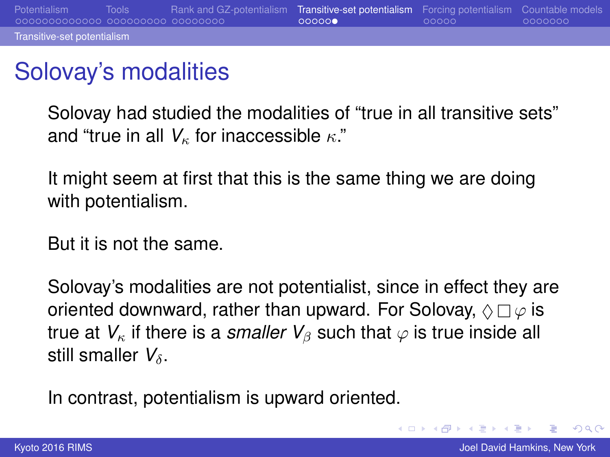# <span id="page-38-0"></span>Solovay's modalities

Solovay had studied the modalities of "true in all transitive sets" and "true in all  $V_{\kappa}$  for inaccessible  $\kappa$ ."

It might seem at first that this is the same thing we are doing with potentialism.

But it is not the same.

Solovay's modalities are not potentialist, since in effect they are oriented downward, rather than upward. For Solovay,  $\Diamond \Box \varphi$  is true at  $V_{\kappa}$  if there is a *smaller*  $V_{\beta}$  such that  $\varphi$  is true inside all still smaller  $V_{\delta}$ .

In contrast, potentialism is upward oriented.

 $2Q$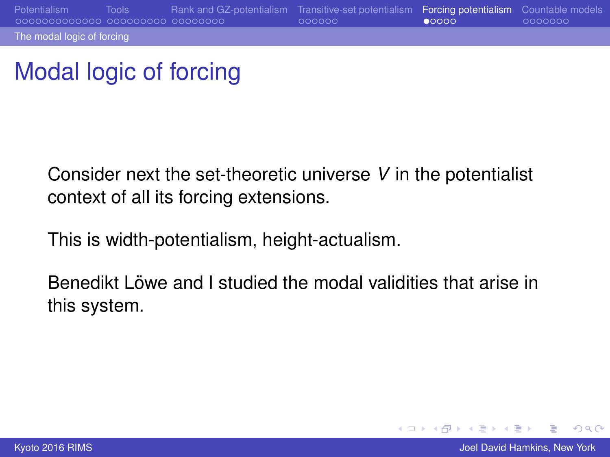# <span id="page-39-0"></span>Modal logic of forcing

Consider next the set-theoretic universe *V* in the potentialist context of all its forcing extensions.

This is width-potentialism, height-actualism.

Benedikt Löwe and I studied the modal validities that arise in this system.

 $2Q$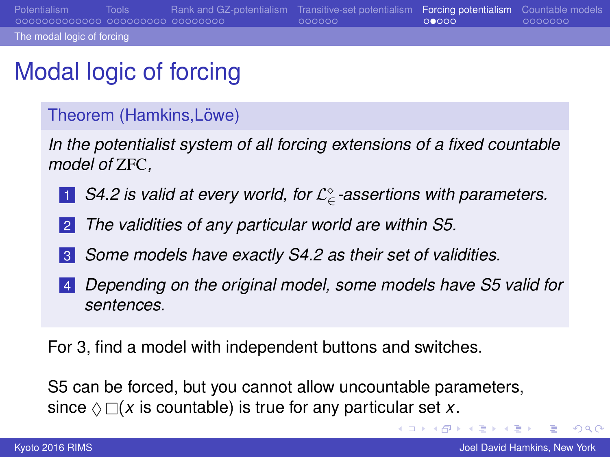<span id="page-40-0"></span>[Potentialism](#page-3-0) [Tools](#page-16-0) [Rank and GZ-potentialism](#page-25-0) [Transitive-set potentialism](#page-33-0) [Forcing potentialism](#page-39-0) [Countable models](#page-44-0) [The modal logic of forcing](#page-40-0)

# Modal logic of forcing

#### Theorem (Hamkins, Löwe)

*In the potentialist system of all forcing extensions of a fixed countable model of* ZFC*,*

- 1 *S4.2 is valid at every world, for* L <sup>∈</sup>*-assertions with parameters.*
- 2 *The validities of any particular world are within S5.*
- 3 *Some models have exactly S4.2 as their set of validities.*
- 4 *Depending on the original model, some models have S5 valid for sentences.*

For 3, find a model with independent buttons and switches.

S5 can be forced, but you cannot allow uncountable parameters, since  $\Diamond \Box(x)$  is countable) is true for any particular set *x*.

ミー  $2Q$ 

イロト イ団 トイヨ トイヨ トー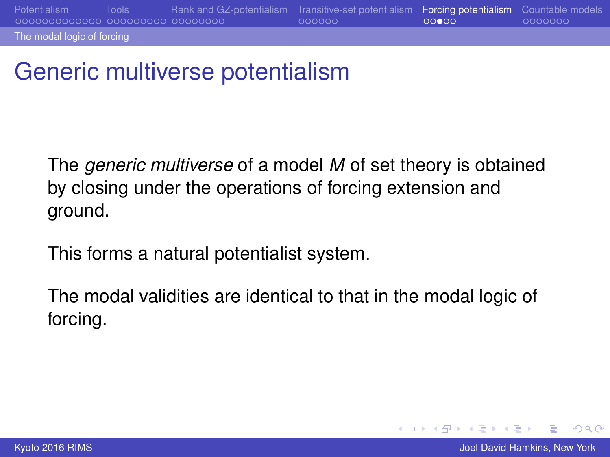<span id="page-41-0"></span>[The modal logic of forcing](#page-41-0)

# Generic multiverse potentialism

The *generic multiverse* of a model *M* of set theory is obtained by closing under the operations of forcing extension and ground.

This forms a natural potentialist system.

The modal validities are identical to that in the modal logic of forcing.

 $2Q$ 

K ロ ⊁ K 伊 ⊁ K ヨ ⊁ K ヨ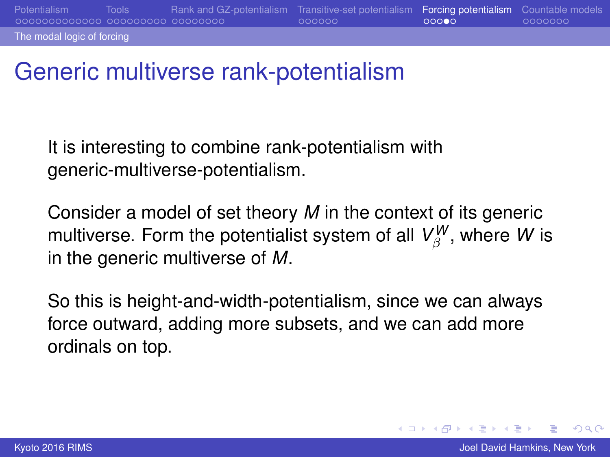### Generic multiverse rank-potentialism

It is interesting to combine rank-potentialism with generic-multiverse-potentialism.

Consider a model of set theory *M* in the context of its generic multiverse. Form the potentialist system of all  $\mathsf{V}^W_\beta$ , where  $W$  is in the generic multiverse of *M*.

So this is height-and-width-potentialism, since we can always force outward, adding more subsets, and we can add more ordinals on top.

<span id="page-42-0"></span>[The modal logic of forcing](#page-42-0)

 $2Q$ 

K ロ ⊁ K 伊 ⊁ K ヨ ⊁ K ヨ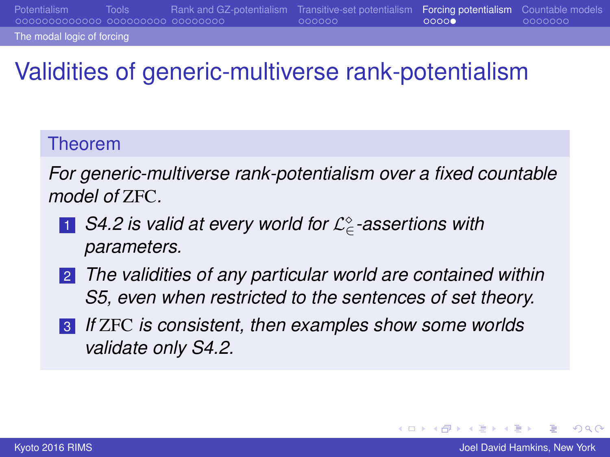<span id="page-43-0"></span>[The modal logic of forcing](#page-43-0)

# Validities of generic-multiverse rank-potentialism

### Theorem

*For generic-multiverse rank-potentialism over a fixed countable model of* ZFC*.*

- 1 *S4.2 is valid at every world for* L <sup>∈</sup>*-assertions with parameters.*
- 2 *The validities of any particular world are contained within S5, even when restricted to the sentences of set theory.*
- 3 *If* ZFC *is consistent, then examples show some worlds validate only S4.2.*

 $200$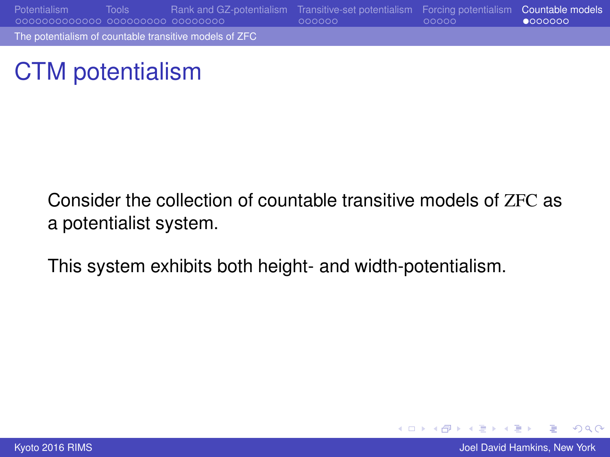<span id="page-44-0"></span>[Potentialism](#page-3-0) [Tools](#page-16-0) [Rank and GZ-potentialism](#page-25-0) [Transitive-set potentialism](#page-33-0) [Forcing potentialism](#page-39-0) [Countable models](#page-44-0) [The potentialism of countable transitive models of ZFC](#page-44-0)

### CTM potentialism

Consider the collection of countable transitive models of ZFC as a potentialist system.

This system exhibits both height- and width-potentialism.

 $2Q$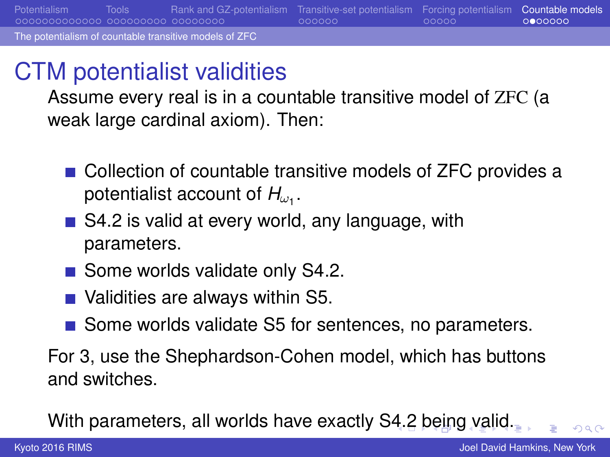<span id="page-45-0"></span>CTM potentialist validities

Assume every real is in a countable transitive model of ZFC (a weak large cardinal axiom). Then:

- Collection of countable transitive models of ZFC provides a potentialist account of  $H_{\omega_1}.$
- S4.2 is valid at every world, any language, with parameters.
- Some worlds validate only S4.2.
- Validities are always within S5.
- Some worlds validate S5 for sentences, no parameters.

For 3, use the Shephardson-Cohen model, which has buttons and switches.

With parameters, all worlds have exactly S[4.2](#page-44-0) [b](#page-46-0)[e](#page-44-0)[in](#page-45-0)[g](#page-46-0)[v](#page-44-0)[ali](#page-50-0)[d](#page-43-0)[.](#page-44-0)

 $\Omega$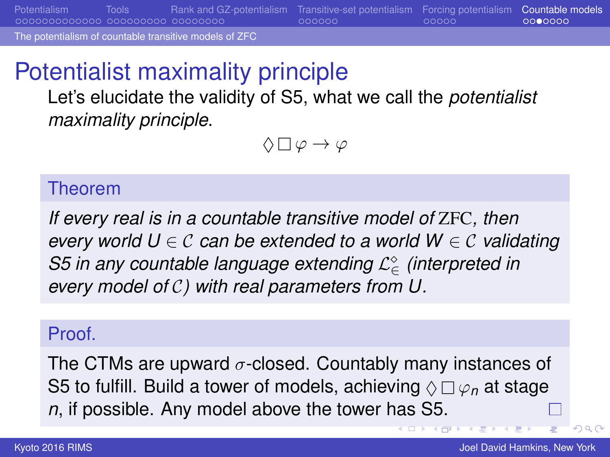<span id="page-46-0"></span>[Potentialism](#page-3-0) [Tools](#page-16-0) [Rank and GZ-potentialism](#page-25-0) [Transitive-set potentialism](#page-33-0) [Forcing potentialism](#page-39-0) [Countable models](#page-44-0)

[The potentialism of countable transitive models of ZFC](#page-46-0)

# Potentialist maximality principle

Let's elucidate the validity of S5, what we call the *potentialist maximality principle*.

 $\Diamond \Box \varphi \rightarrow \varphi$ 

#### Theorem

*If every real is in a countable transitive model of* ZFC*, then every world U* ∈ C *can be extended to a world W* ∈ C *validating S5* in any countable language extending  $\mathcal{L}^{\diamond}_{\in}$  (interpreted in *every model of* C*) with real parameters from U.*

### Proof.

The CTMs are upward  $\sigma$ -closed. Countably many instances of S5 to fulfill. Build a tower of models, achieving  $\Diamond \Box \varphi_n$  at stage *n*, if possible. Any model above the tower has S5.

つへへ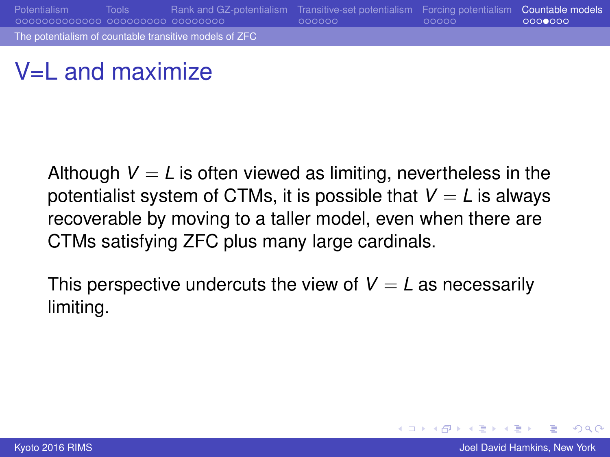### <span id="page-47-0"></span> $V=$ L and maximize

Although  $V = L$  is often viewed as limiting, nevertheless in the potentialist system of CTMs, it is possible that  $V = L$  is always recoverable by moving to a taller model, even when there are CTMs satisfying ZFC plus many large cardinals.

This perspective undercuts the view of  $V = L$  as necessarily limiting.

 $2Q$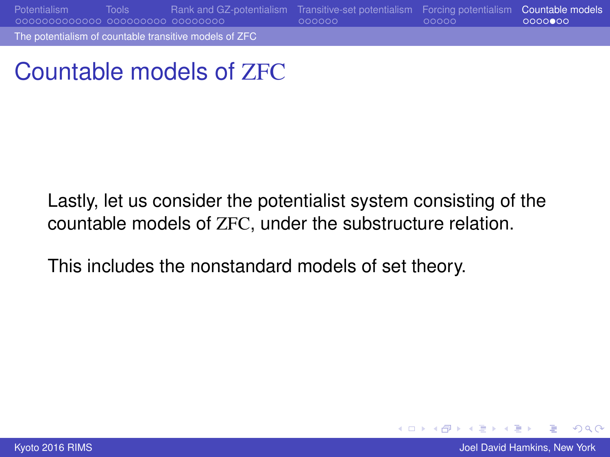<span id="page-48-0"></span>[Potentialism](#page-3-0) [Tools](#page-16-0) [Rank and GZ-potentialism](#page-25-0) [Transitive-set potentialism](#page-33-0) [Forcing potentialism](#page-39-0) [Countable models](#page-44-0)

[The potentialism of countable transitive models of ZFC](#page-48-0)

Countable models of ZFC

Lastly, let us consider the potentialist system consisting of the countable models of ZFC, under the substructure relation.

This includes the nonstandard models of set theory.

**[Kyoto 2016 RIMS](#page-0-0) Hamkins, New York 30 Automobile Accounts** and the United States of the United States of the United States of the United States of the United States of the United States of the United States of the United

 $2Q$ 

K ロ ⊁ K 伊 ⊁ K ヨ ⊁ K ヨ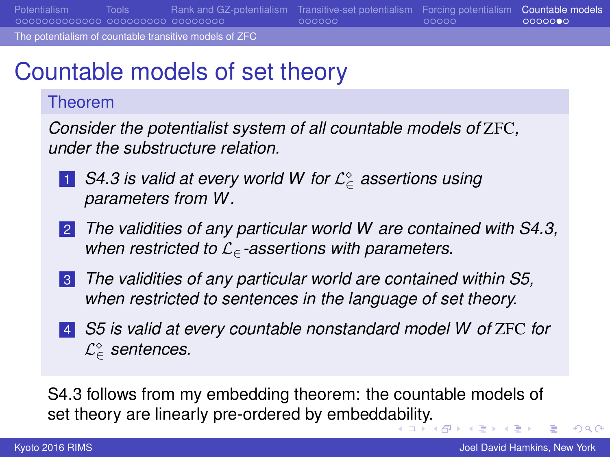<span id="page-49-0"></span>[Potentialism](#page-3-0) [Tools](#page-16-0) [Rank and GZ-potentialism](#page-25-0) [Transitive-set potentialism](#page-33-0) [Forcing potentialism](#page-39-0) [Countable models](#page-44-0)

[The potentialism of countable transitive models of ZFC](#page-49-0)

# Countable models of set theory

#### Theorem

*Consider the potentialist system of all countable models of* ZFC*, under the substructure relation.*

- 1 *S4.3 is valid at every world W for* L <sup>∈</sup> *assertions using parameters from W.*
- 2 *The validities of any particular world W are contained with S4.3, when restricted to* L∈*-assertions with parameters.*
- 3 *The validities of any particular world are contained within S5, when restricted to sentences in the language of set theory.*
- 4 *S5 is valid at every countable nonstandard model W of* ZFC *for* L <sup>∈</sup> *sentences.*

S4.3 follows from my embedding theorem: the countable models of set theory are linearly pre-ordered by embedd[abi](#page-48-0)l[ity](#page-50-0)[.](#page-48-0)

( □ ) ( <sub>□</sub> )

 $\Omega$